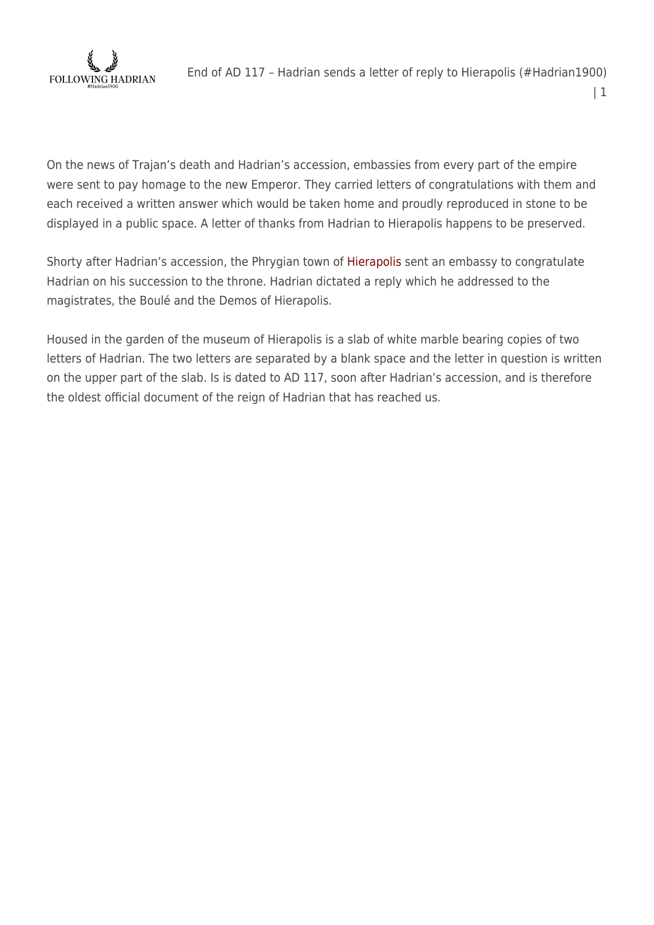

| 1

On the news of Trajan's death and Hadrian's accession, embassies from every part of the empire were sent to pay homage to the new Emperor. They carried letters of congratulations with them and each received a written answer which would be taken home and proudly reproduced in stone to be displayed in a public space. A letter of thanks from Hadrian to Hierapolis happens to be preserved.

Shorty after Hadrian's accession, the Phrygian town of [Hierapolis](https://followinghadrianphotography.com/2017/01/21/hierapolis-pamukkale/) sent an embassy to congratulate Hadrian on his succession to the throne. Hadrian dictated a reply which he addressed to the magistrates, the Boulé and the Demos of Hierapolis.

Housed in the garden of the museum of Hierapolis is a slab of white marble bearing copies of two letters of Hadrian. The two letters are separated by a blank space and the letter in question is written on the upper part of the slab. Is is dated to AD 117, soon after Hadrian's accession, and is therefore the oldest official document of the reign of Hadrian that has reached us.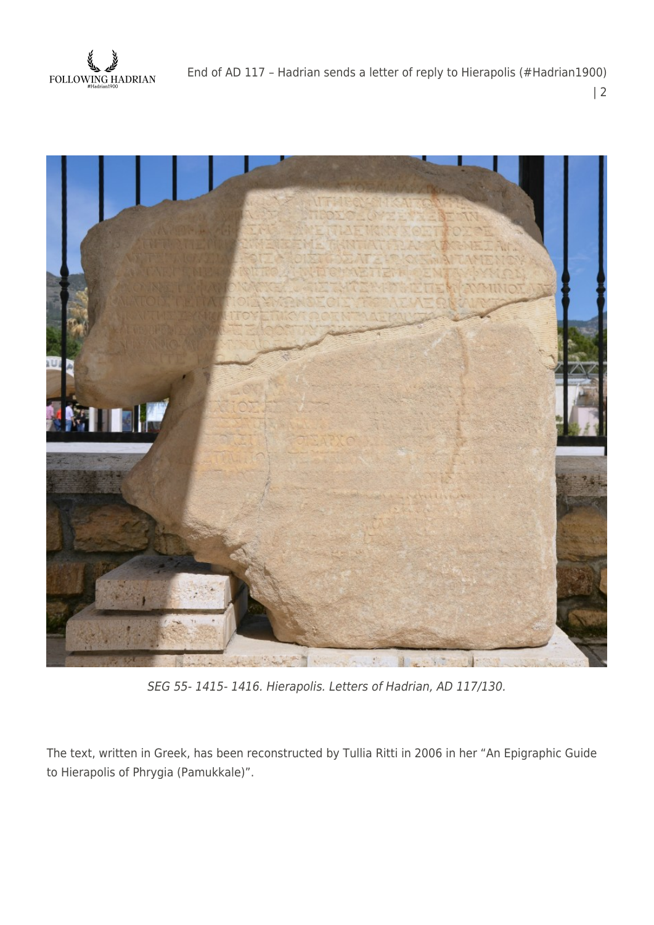



SEG 55- 1415- 1416. Hierapolis. Letters of Hadrian, AD 117/130.

The text, written in Greek, has been reconstructed by Tullia Ritti in 2006 in her "An Epigraphic Guide to Hierapolis of Phrygia (Pamukkale)".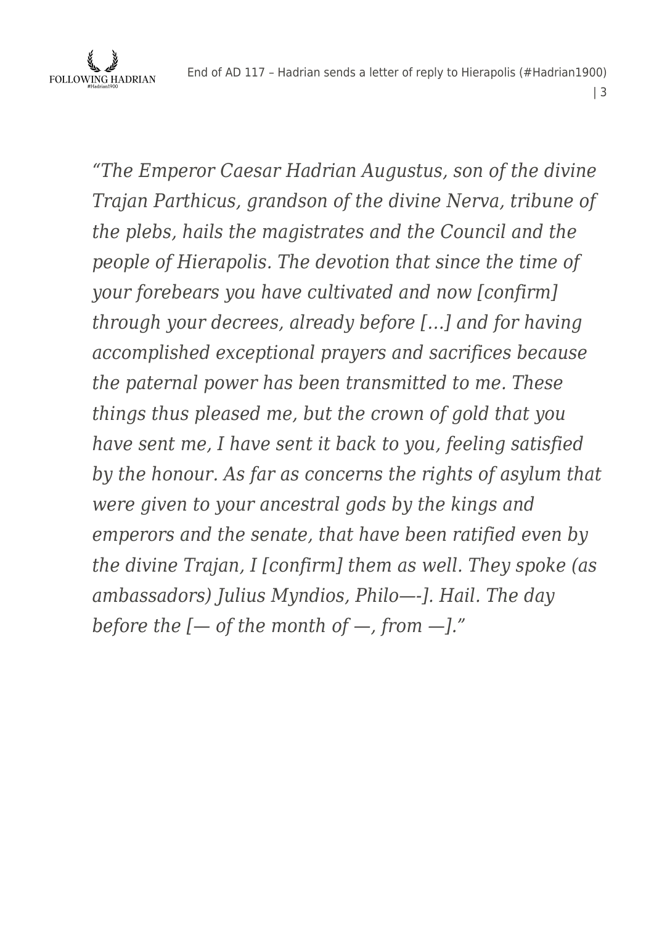

| 3

*"The Emperor Caesar Hadrian Augustus, son of the divine Trajan Parthicus, grandson of the divine Nerva, tribune of the plebs, hails the magistrates and the Council and the people of Hierapolis. The devotion that since the time of your forebears you have cultivated and now [confirm] through your decrees, already before […] and for having accomplished exceptional prayers and sacrifices because the paternal power has been transmitted to me. These things thus pleased me, but the crown of gold that you have sent me, I have sent it back to you, feeling satisfied by the honour. As far as concerns the rights of asylum that were given to your ancestral gods by the kings and emperors and the senate, that have been ratified even by the divine Trajan, I [confirm] them as well. They spoke (as ambassadors) Julius Myndios, Philo—-]. Hail. The day before the [— of the month of —, from —]."*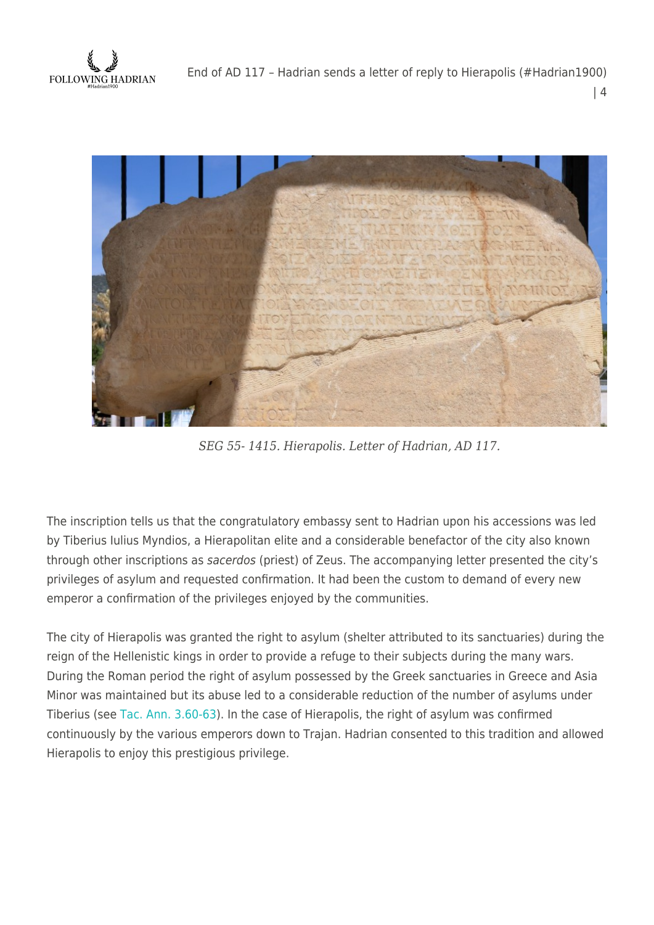



*SEG 55- 1415. Hierapolis. Letter of Hadrian, AD 117.*

The inscription tells us that the congratulatory embassy sent to Hadrian upon his accessions was led by Tiberius Iulius Myndios, a Hierapolitan elite and a considerable benefactor of the city also known through other inscriptions as sacerdos (priest) of Zeus. The accompanying letter presented the city's privileges of asylum and requested confirmation. It had been the custom to demand of every new emperor a confirmation of the privileges enjoyed by the communities.

The city of Hierapolis was granted the right to asylum (shelter attributed to its sanctuaries) during the reign of the Hellenistic kings in order to provide a refuge to their subjects during the many wars. During the Roman period the right of asylum possessed by the Greek sanctuaries in Greece and Asia Minor was maintained but its abuse led to a considerable reduction of the number of asylums under Tiberius (see [Tac. Ann. 3.60-63](http://www.perseus.tufts.edu/hopper/text?doc=Tac.%20Ann.%203.60&lang=original)). In the case of Hierapolis, the right of asylum was confirmed continuously by the various emperors down to Trajan. Hadrian consented to this tradition and allowed Hierapolis to enjoy this prestigious privilege.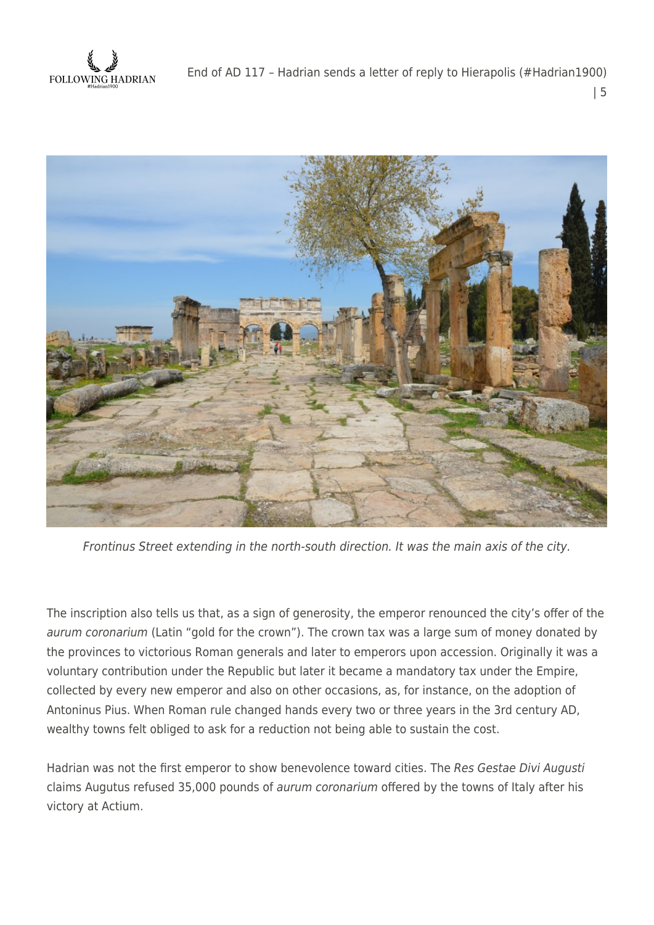



Frontinus Street extending in the north-south direction. It was the main axis of the city.

The inscription also tells us that, as a sign of generosity, the emperor renounced the city's offer of the aurum coronarium (Latin "gold for the crown"). The crown tax was a large sum of money donated by the provinces to victorious Roman generals and later to emperors upon accession. Originally it was a voluntary contribution under the Republic but later it became a mandatory tax under the Empire, collected by every new emperor and also on other occasions, as, for instance, on the adoption of Antoninus Pius. When Roman rule changed hands every two or three years in the 3rd century AD, wealthy towns felt obliged to ask for a reduction not being able to sustain the cost.

Hadrian was not the first emperor to show benevolence toward cities. The Res Gestae Divi Augusti claims Augutus refused 35,000 pounds of aurum coronarium offered by the towns of Italy after his victory at Actium.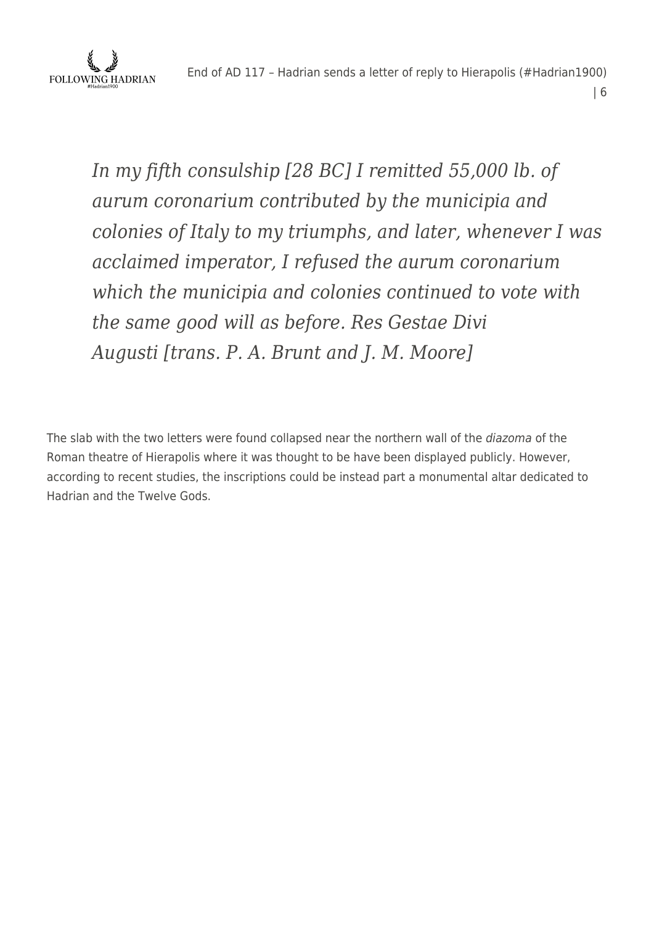

*In my fifth consulship [28 BC] I remitted 55,000 lb. of aurum coronarium contributed by the municipia and colonies of Italy to my triumphs, and later, whenever I was acclaimed imperator, I refused the aurum coronarium which the municipia and colonies continued to vote with the same good will as before. Res Gestae Divi Augusti [trans. P. A. Brunt and J. M. Moore]*

The slab with the two letters were found collapsed near the northern wall of the diazoma of the Roman theatre of Hierapolis where it was thought to be have been displayed publicly. However, according to recent studies, the inscriptions could be instead part a monumental altar dedicated to Hadrian and the Twelve Gods.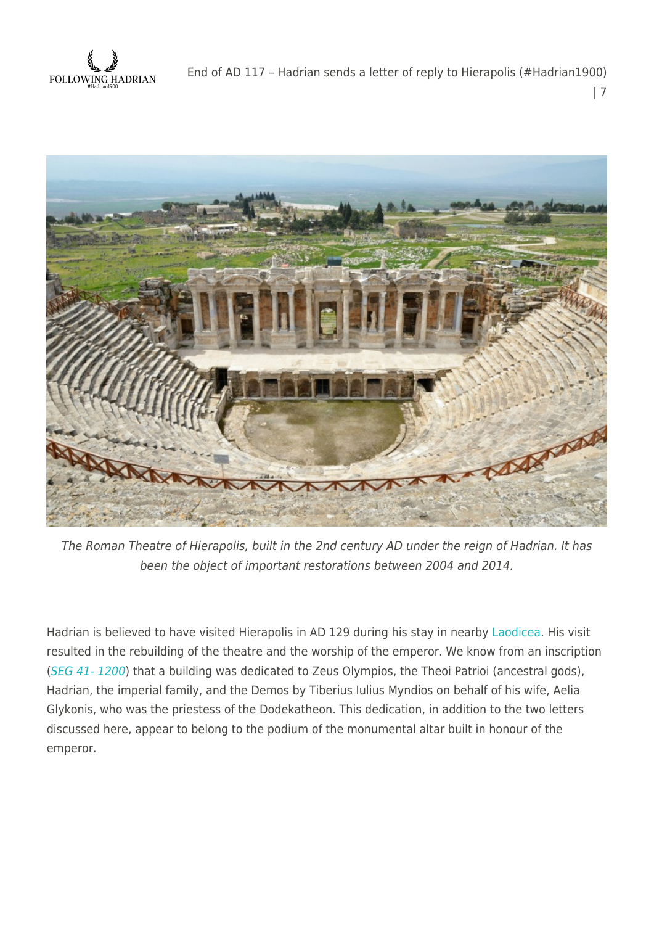



The Roman Theatre of Hierapolis, built in the 2nd century AD under the reign of Hadrian. It has been the object of important restorations between 2004 and 2014.

Hadrian is believed to have visited Hierapolis in AD 129 during his stay in nearby [Laodicea](https://followinghadrianphotography.com/2017/01/05/laodicea-on-the-lycus/). His visit resulted in the rebuilding of the theatre and the worship of the emperor. We know from an inscription (SEG 41-1200) that a building was dedicated to Zeus Olympios, the Theoi Patrioi (ancestral gods), Hadrian, the imperial family, and the Demos by Tiberius Iulius Myndios on behalf of his wife, Aelia Glykonis, who was the priestess of the Dodekatheon. This dedication, in addition to the two letters discussed here, appear to belong to the podium of the monumental altar built in honour of the emperor.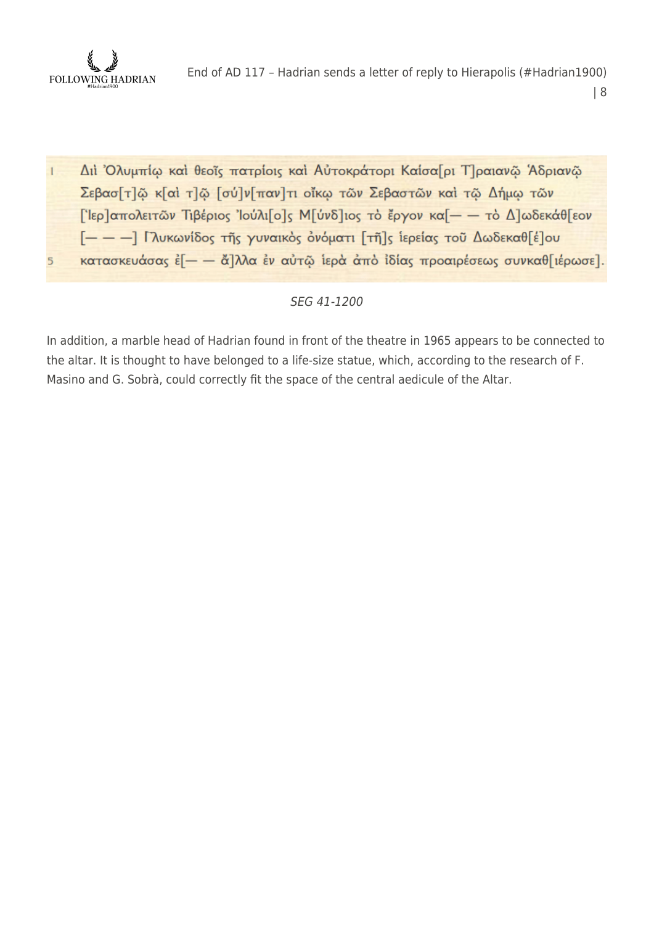

 $\overline{1}$ Διί Όλυμπίω και θεοΐς πατρίοις και Αυτοκράτορι Καίσα[ρι Τ]ραιανώ Άδριανώ Σεβασ[τ] ώ κ[αί τ] ώ [σύ] ν[παν] τι οΪκω τών Σεβαστών καί τώ Δήμω τών Γ' Ιερ | απολειτών Τιβέριος 'Ιούλι[ο]ς Μ[ύνδ]ιος το έργον κα[- - το Δ]ωδεκάθ[εον  $[- - -]$  Γλυκωνίδος της γυναικός όνόματι [τη]ς ιερείας του Δωδεκαθ[έ]ου κατασκευάσας έ[- - ά]λλα έν αύτω ίερα άπο ίδίας προαιρέσεως συνκαθ[ιέρωσε]. 5

## SEG 41-1200

In addition, a marble head of Hadrian found in front of the theatre in 1965 appears to be connected to the altar. It is thought to have belonged to a life-size statue, which, according to the research of F. Masino and G. Sobrà, could correctly fit the space of the central aedicule of the Altar.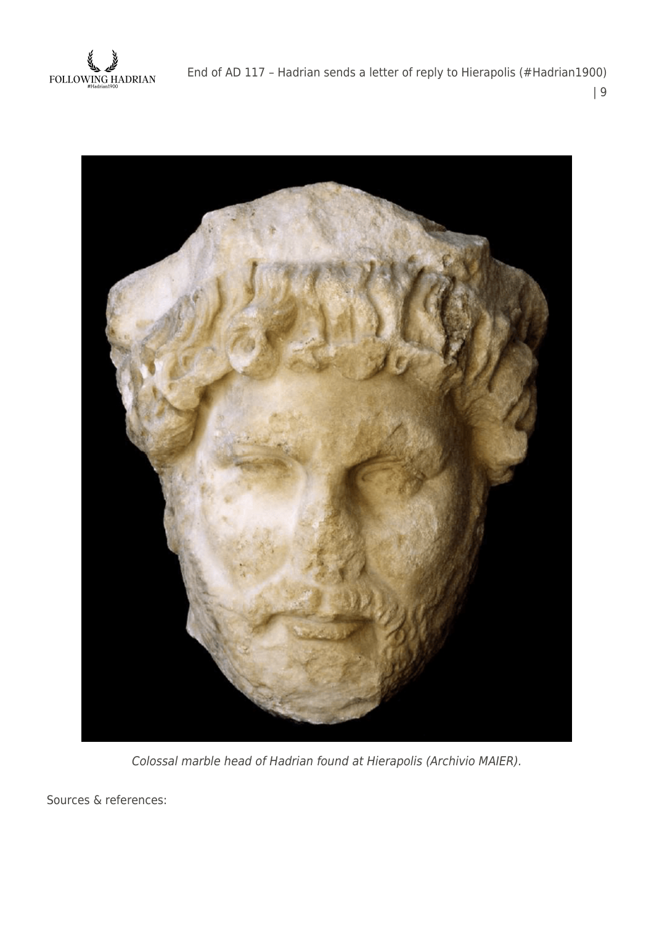



Colossal marble head of Hadrian found at Hierapolis (Archivio MAIER).

Sources & references: